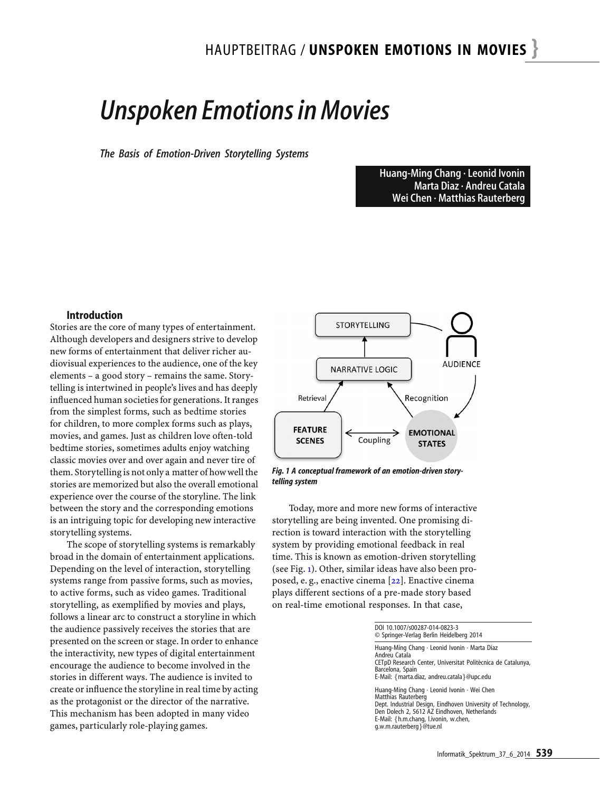# *Unspoken Emotions in Movies*

*The Basis of Emotion-Driven Storytelling Systems*

Huang-Ming Chang · Leonid Ivonin Marta Diaz · Andreu Catala Wei Chen · Matthias Rauterberg

#### Introduction

Stories are the core of many types of entertainment. Although developers and designers strive to develop new forms of entertainment that deliver richer audiovisual experiences to the audience, one of the key elements – a good story – remains the same. Storytelling is intertwined in people's lives and has deeply influenced human societies for generations. It ranges from the simplest forms, such as bedtime stories for children, to more complex forms such as plays, movies, and games. Just as children love often-told bedtime stories, sometimes adults enjoy watching classic movies over and over again and never tire of them. Storytelling is not only a matter of how well the stories are memorized but also the overall emotional experience over the course of the storyline. The link between the story and the corresponding emotions is an intriguing topic for developing new interactive storytelling systems.

The scope of storytelling systems is remarkably broad in the domain of entertainment applications. Depending on the level of interaction, storytelling systems range from passive forms, such as movies, to active forms, such as video games. Traditional storytelling, as exemplified by movies and plays, follows a linear arc to construct a storyline in which the audience passively receives the stories that are presented on the screen or stage. In order to enhance the interactivity, new types of digital entertainment encourage the audience to become involved in the stories in different ways. The audience is invited to create or influence the storyline in real time by acting as the protagonist or the director of the narrative. This mechanism has been adopted in many video games, particularly role-playing games.



<span id="page-0-0"></span>*Fig. 1 A conceptual framework of an emotion-driven storytelling system*

Today, more and more new forms of interactive storytelling are being invented. One promising direction is toward interaction with the storytelling system by providing emotional feedback in real time. This is known as emotion-driven storytelling (see Fig. [1\)](#page-0-0). Other, similar ideas have also been proposed, e. g., enactive cinema [\[22\]](#page-7-0). Enactive cinema plays different sections of a pre-made story based on real-time emotional responses. In that case,

| DOI 10.1007/s00287-014-0823-3<br>© Springer-Verlag Berlin Heidelberg 2014                                                                                                                                                                                 |  |
|-----------------------------------------------------------------------------------------------------------------------------------------------------------------------------------------------------------------------------------------------------------|--|
| Huang-Ming Chang $\cdot$ Leonid Ivonin $\cdot$ Marta Diaz<br>Andreu Catala<br>CETpD Research Center, Universitat Politècnica de Catalunya,<br>Barcelona, Spain<br>E-Mail: { marta.diaz, andreu.catala } @upc.edu                                          |  |
| Huang-Ming Chang · Leonid Ivonin · Wei Chen<br>Matthias Rauterberg<br>Dept. Industrial Design, Eindhoven University of Technology,<br>Den Dolech 2, 5612 AZ Eindhoven, Netherlands<br>E-Mail: {h.m.chang, l.ivonin, w.chen,<br>q.w.m.rauterberg } @tue.nl |  |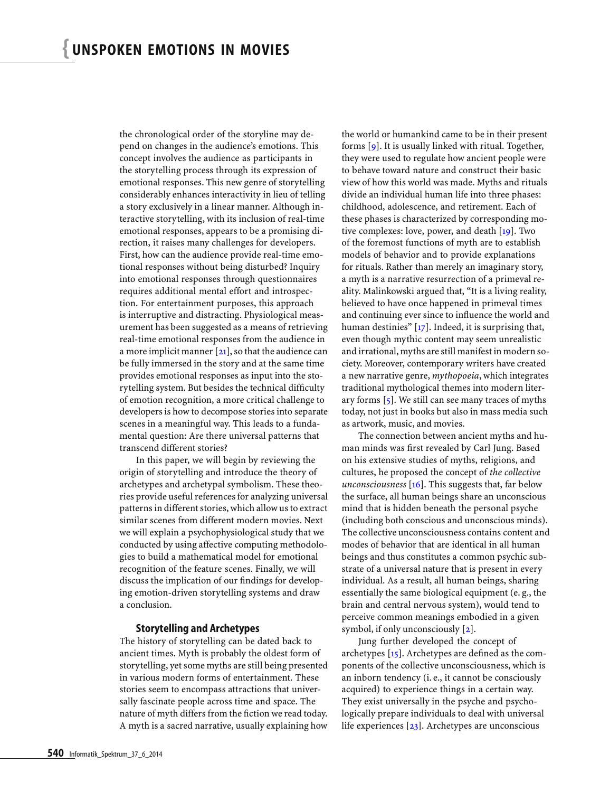the chronological order of the storyline may depend on changes in the audience's emotions. This concept involves the audience as participants in the storytelling process through its expression of emotional responses. This new genre of storytelling considerably enhances interactivity in lieu of telling a story exclusively in a linear manner. Although interactive storytelling, with its inclusion of real-time emotional responses, appears to be a promising direction, it raises many challenges for developers. First, how can the audience provide real-time emotional responses without being disturbed? Inquiry into emotional responses through questionnaires requires additional mental effort and introspection. For entertainment purposes, this approach is interruptive and distracting. Physiological measurement has been suggested as a means of retrieving real-time emotional responses from the audience in a more implicit manner  $[21]$ , so that the audience can be fully immersed in the story and at the same time provides emotional responses as input into the storytelling system. But besides the technical difficulty of emotion recognition, a more critical challenge to developers is how to decompose stories into separate scenes in a meaningful way. This leads to a fundamental question: Are there universal patterns that transcend different stories?

In this paper, we will begin by reviewing the origin of storytelling and introduce the theory of archetypes and archetypal symbolism. These theories provide useful references for analyzing universal patterns in different stories, which allow us to extract similar scenes from different modern movies. Next we will explain a psychophysiological study that we conducted by using affective computing methodologies to build a mathematical model for emotional recognition of the feature scenes. Finally, we will discuss the implication of our findings for developing emotion-driven storytelling systems and draw a conclusion.

#### Storytelling and Archetypes

The history of storytelling can be dated back to ancient times. Myth is probably the oldest form of storytelling, yet some myths are still being presented in various modern forms of entertainment. These stories seem to encompass attractions that universally fascinate people across time and space. The nature of myth differs from the fiction we read today. A myth is a sacred narrative, usually explaining how

the world or humankind came to be in their present forms  $[g]$ . It is usually linked with ritual. Together, they were used to regulate how ancient people were to behave toward nature and construct their basic view of how this world was made. Myths and rituals divide an individual human life into three phases: childhood, adolescence, and retirement. Each of these phases is characterized by corresponding mo-tive complexes: love, power, and death [\[19\]](#page-6-1). Two of the foremost functions of myth are to establish models of behavior and to provide explanations for rituals. Rather than merely an imaginary story, a myth is a narrative resurrection of a primeval reality. Malinkowski argued that, "It is a living reality, believed to have once happened in primeval times and continuing ever since to influence the world and human destinies" [\[17\]](#page-6-2). Indeed, it is surprising that, even though mythic content may seem unrealistic and irrational, myths are still manifest in modern society. Moreover, contemporary writers have created a new narrative genre, *mythopoeia*, which integrates traditional mythological themes into modern literary forms  $\lceil 5 \rceil$ . We still can see many traces of myths today, not just in books but also in mass media such as artwork, music, and movies.

The connection between ancient myths and human minds was first revealed by Carl Jung. Based on his extensive studies of myths, religions, and cultures, he proposed the concept of *the collective unconsciousness* [\[16\]](#page-6-4). This suggests that, far below the surface, all human beings share an unconscious mind that is hidden beneath the personal psyche (including both conscious and unconscious minds). The collective unconsciousness contains content and modes of behavior that are identical in all human beings and thus constitutes a common psychic substrate of a universal nature that is present in every individual. As a result, all human beings, sharing essentially the same biological equipment (e. g., the brain and central nervous system), would tend to perceive common meanings embodied in a given symbol, if only unconsciously [\[2\]](#page-6-5).

Jung further developed the concept of archetypes  $[15]$ . Archetypes are defined as the components of the collective unconsciousness, which is an inborn tendency (i. e., it cannot be consciously acquired) to experience things in a certain way. They exist universally in the psyche and psychologically prepare individuals to deal with universal life experiences [\[23\]](#page-7-2). Archetypes are unconscious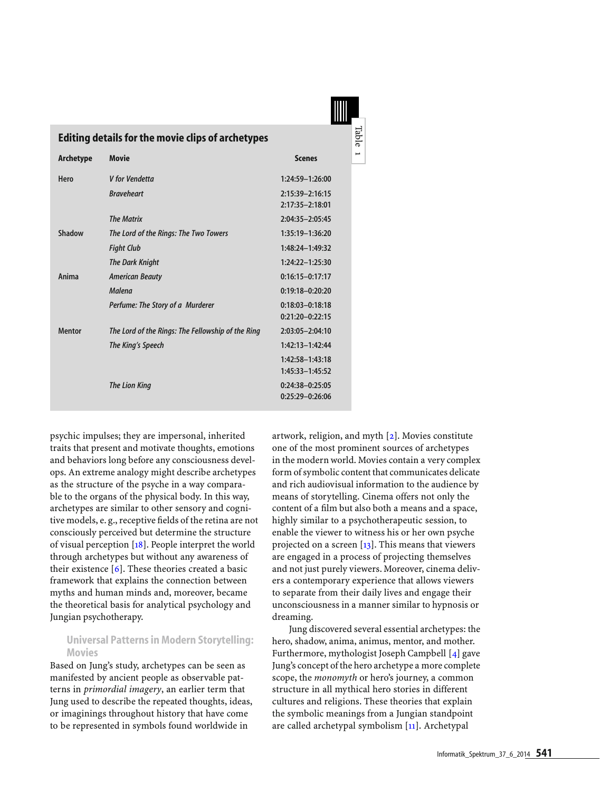| <b>Editing details for the movie clips of archetypes</b> |                                                   |                                            |  |  |  |  |  |
|----------------------------------------------------------|---------------------------------------------------|--------------------------------------------|--|--|--|--|--|
| <b>Archetype</b>                                         | <b>Movie</b>                                      | <b>Scenes</b>                              |  |  |  |  |  |
| Hero                                                     | V for Vendetta                                    | 1:24:59-1:26:00                            |  |  |  |  |  |
|                                                          | <b>Braveheart</b>                                 | 2:15:39-2:16:15<br>2:17:35-2:18:01         |  |  |  |  |  |
|                                                          | <b>The Matrix</b>                                 | 2:04:35-2:05:45                            |  |  |  |  |  |
| Shadow                                                   | The Lord of the Rings: The Two Towers             | 1:35:19-1:36:20                            |  |  |  |  |  |
|                                                          | <b>Fight Club</b>                                 | 1:48:24-1:49:32                            |  |  |  |  |  |
|                                                          | <b>The Dark Knight</b>                            | $1:24:22 - 1:25:30$                        |  |  |  |  |  |
| Anima                                                    | <b>American Beauty</b>                            | $0:16:15 - 0:17:17$                        |  |  |  |  |  |
|                                                          | Malena                                            | $0:19:18 - 0:20:20$                        |  |  |  |  |  |
|                                                          | Perfume: The Story of a Murderer                  | $0:18:03 - 0:18:18$<br>$0:21:20 - 0:22:15$ |  |  |  |  |  |
| <b>Mentor</b>                                            | The Lord of the Rings: The Fellowship of the Ring | $2:03:05 - 2:04:10$                        |  |  |  |  |  |
|                                                          | The King's Speech                                 | 1:42:13-1:42:44                            |  |  |  |  |  |
|                                                          |                                                   | 1:42:58-1:43:18<br>1:45:33-1:45:52         |  |  |  |  |  |
|                                                          | <b>The Lion King</b>                              | $0:24:38-0:25:05$<br>$0:25:29 - 0:26:06$   |  |  |  |  |  |

<span id="page-2-0"></span>psychic impulses; they are impersonal, inherited traits that present and motivate thoughts, emotions and behaviors long before any consciousness develops. An extreme analogy might describe archetypes as the structure of the psyche in a way comparable to the organs of the physical body. In this way, archetypes are similar to other sensory and cognitive models, e. g., receptive fields of the retina are not consciously perceived but determine the structure of visual perception [\[18\]](#page-6-7). People interpret the world through archetypes but without any awareness of their existence [\[6\]](#page-6-8). These theories created a basic framework that explains the connection between myths and human minds and, moreover, became the theoretical basis for analytical psychology and Jungian psychotherapy.

#### Universal Patterns in Modern Storytelling: Movies

Based on Jung's study, archetypes can be seen as manifested by ancient people as observable patterns in *primordial imagery*, an earlier term that Jung used to describe the repeated thoughts, ideas, or imaginings throughout history that have come to be represented in symbols found worldwide in

artwork, religion, and myth [\[2\]](#page-6-5). Movies constitute one of the most prominent sources of archetypes in the modern world. Movies contain a very complex form of symbolic content that communicates delicate and rich audiovisual information to the audience by means of storytelling. Cinema offers not only the content of a film but also both a means and a space, highly similar to a psychotherapeutic session, to enable the viewer to witness his or her own psyche projected on a screen  $[13]$ . This means that viewers are engaged in a process of projecting themselves and not just purely viewers. Moreover, cinema delivers a contemporary experience that allows viewers to separate from their daily lives and engage their unconsciousness in a manner similar to hypnosis or dreaming.

Table 1

Jung discovered several essential archetypes: the hero, shadow, anima, animus, mentor, and mother. Furthermore, mythologist Joseph Campbell [\[4\]](#page-6-10) gave Jung's concept of the hero archetype a more complete scope, the *monomyth* or hero's journey, a common structure in all mythical hero stories in different cultures and religions. These theories that explain the symbolic meanings from a Jungian standpoint are called archetypal symbolism [\[11\]](#page-6-11). Archetypal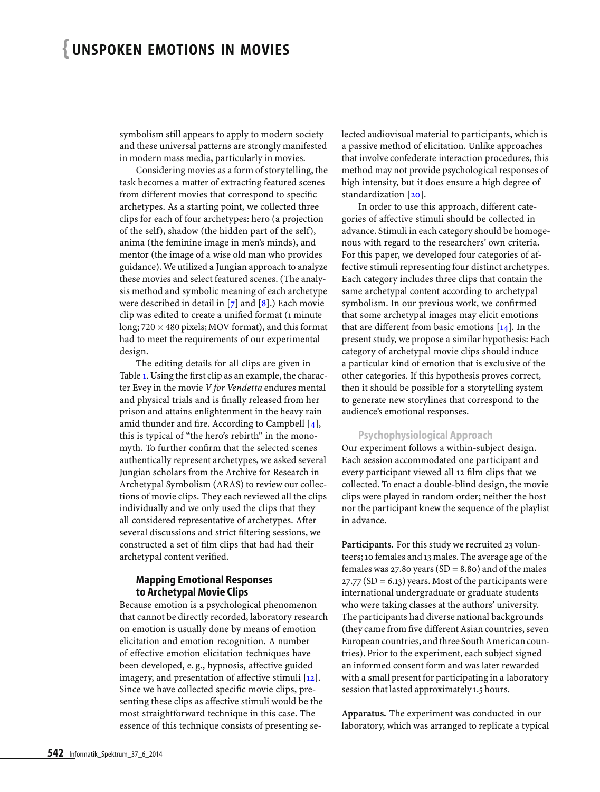symbolism still appears to apply to modern society and these universal patterns are strongly manifested in modern mass media, particularly in movies.

Considering movies as a form of storytelling, the task becomes a matter of extracting featured scenes from different movies that correspond to specific archetypes. As a starting point, we collected three clips for each of four archetypes: hero (a projection of the self), shadow (the hidden part of the self), anima (the feminine image in men's minds), and mentor (the image of a wise old man who provides guidance).We utilized a Jungian approach to analyze these movies and select featured scenes. (The analysis method and symbolic meaning of each archetype were described in detail in  $[7]$  and  $[8]$ .) Each movie clip was edited to create a unified format (1 minute long;  $720 \times 480$  pixels; MOV format), and this format had to meet the requirements of our experimental design.

The editing details for all clips are given in Table [1.](#page-2-0) Using the first clip as an example, the character Evey in the movie *V for Vendetta* endures mental and physical trials and is finally released from her prison and attains enlightenment in the heavy rain amid thunder and fire. According to Campbell  $[4]$ , this is typical of "the hero's rebirth" in the monomyth. To further confirm that the selected scenes authentically represent archetypes, we asked several Jungian scholars from the Archive for Research in Archetypal Symbolism (ARAS) to review our collections of movie clips. They each reviewed all the clips individually and we only used the clips that they all considered representative of archetypes. After several discussions and strict filtering sessions, we constructed a set of film clips that had had their archetypal content verified.

#### Mapping Emotional Responses to Archetypal Movie Clips

Because emotion is a psychological phenomenon that cannot be directly recorded, laboratory research on emotion is usually done by means of emotion elicitation and emotion recognition. A number of effective emotion elicitation techniques have been developed, e. g., hypnosis, affective guided imagery, and presentation of affective stimuli [\[12\]](#page-6-14). Since we have collected specific movie clips, presenting these clips as affective stimuli would be the most straightforward technique in this case. The essence of this technique consists of presenting selected audiovisual material to participants, which is a passive method of elicitation. Unlike approaches that involve confederate interaction procedures, this method may not provide psychological responses of high intensity, but it does ensure a high degree of standardization [\[20\]](#page-7-3).

In order to use this approach, different categories of affective stimuli should be collected in advance. Stimuli in each category should be homogenous with regard to the researchers' own criteria. For this paper, we developed four categories of affective stimuli representing four distinct archetypes. Each category includes three clips that contain the same archetypal content according to archetypal symbolism. In our previous work, we confirmed that some archetypal images may elicit emotions that are different from basic emotions  $[14]$ . In the present study, we propose a similar hypothesis: Each category of archetypal movie clips should induce a particular kind of emotion that is exclusive of the other categories. If this hypothesis proves correct, then it should be possible for a storytelling system to generate new storylines that correspond to the audience's emotional responses.

#### Psychophysiological Approach

Our experiment follows a within-subject design. Each session accommodated one participant and every participant viewed all 12 film clips that we collected. To enact a double-blind design, the movie clips were played in random order; neither the host nor the participant knew the sequence of the playlist in advance.

Participants. For this study we recruited 23 volunteers; 10 females and 13 males. The average age of the females was 27.80 years  $(SD = 8.80)$  and of the males  $27.77$  (SD = 6.13) years. Most of the participants were international undergraduate or graduate students who were taking classes at the authors' university. The participants had diverse national backgrounds (they came from five different Asian countries, seven European countries, and three South American countries). Prior to the experiment, each subject signed an informed consent form and was later rewarded with a small present for participating in a laboratory session that lasted approximately 1.5 hours.

**Apparatus.** The experiment was conducted in our laboratory, which was arranged to replicate a typical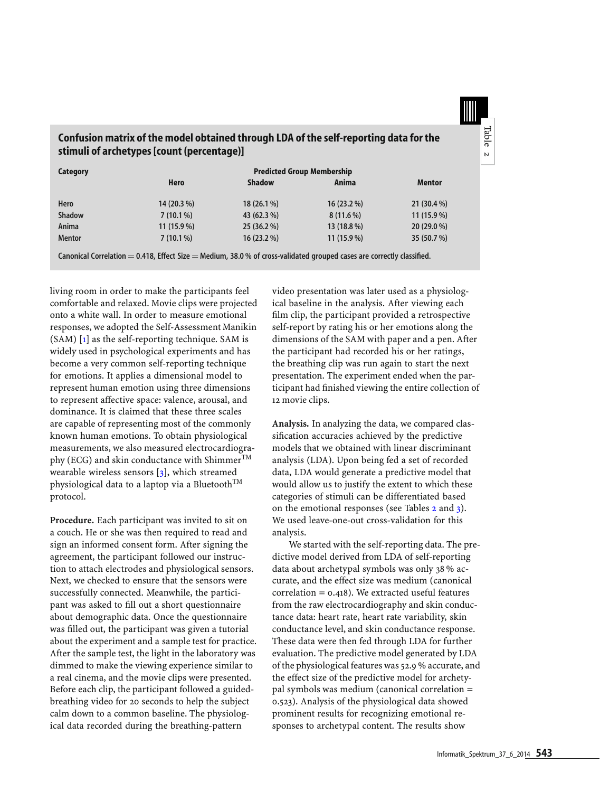

### Confusion matrix of the model obtained through LDA of the self-reporting data for the stimuli of archetypes [count (percentage)]

| Category      | <b>Predicted Group Membership</b> |               |              |               |  |
|---------------|-----------------------------------|---------------|--------------|---------------|--|
|               | Hero                              | <b>Shadow</b> | Anima        | <b>Mentor</b> |  |
| Hero          | 14 (20.3 %)                       | $18(26.1\%)$  | $16(23.2\%)$ | $21(30.4\%)$  |  |
| <b>Shadow</b> | $7(10.1\%)$                       | 43 (62.3 %)   | $8(11.6\%)$  | $11(15.9\%)$  |  |
| Anima         | $11(15.9\%)$                      | 25(36.2%)     | 13 (18.8 %)  | $20(29.0\%)$  |  |
| <b>Mentor</b> | $7(10.1\%)$                       | $16(23.2\%)$  | $11(15.9\%)$ | 35 (50.7 %)   |  |

Canonical Correlation  $= 0.418$ , Effect Size  $=$  Medium, 38.0 % of cross-validated grouped cases are correctly classified.

<span id="page-4-0"></span>living room in order to make the participants feel comfortable and relaxed. Movie clips were projected onto a white wall. In order to measure emotional responses, we adopted the Self-Assessment Manikin  $(SAM)$  [\[1\]](#page-6-16) as the self-reporting technique. SAM is widely used in psychological experiments and has become a very common self-reporting technique for emotions. It applies a dimensional model to represent human emotion using three dimensions to represent affective space: valence, arousal, and dominance. It is claimed that these three scales are capable of representing most of the commonly known human emotions. To obtain physiological measurements, we also measured electrocardiography (ECG) and skin conductance with Shimmer $^{TM}$ wearable wireless sensors [\[3\]](#page-6-17), which streamed physiological data to a laptop via a Bluetooth<sup>TM</sup> protocol.

**Procedure.** Each participant was invited to sit on a couch. He or she was then required to read and sign an informed consent form. After signing the agreement, the participant followed our instruction to attach electrodes and physiological sensors. Next, we checked to ensure that the sensors were successfully connected. Meanwhile, the participant was asked to fill out a short questionnaire about demographic data. Once the questionnaire was filled out, the participant was given a tutorial about the experiment and a sample test for practice. After the sample test, the light in the laboratory was dimmed to make the viewing experience similar to a real cinema, and the movie clips were presented. Before each clip, the participant followed a guidedbreathing video for 20 seconds to help the subject calm down to a common baseline. The physiological data recorded during the breathing-pattern

video presentation was later used as a physiological baseline in the analysis. After viewing each film clip, the participant provided a retrospective self-report by rating his or her emotions along the dimensions of the SAM with paper and a pen. After the participant had recorded his or her ratings, the breathing clip was run again to start the next presentation. The experiment ended when the participant had finished viewing the entire collection of 12 movie clips.

**Analysis.** In analyzing the data, we compared classification accuracies achieved by the predictive models that we obtained with linear discriminant analysis (LDA). Upon being fed a set of recorded data, LDA would generate a predictive model that would allow us to justify the extent to which these categories of stimuli can be differentiated based on the emotional responses (see Tables [2](#page-4-0) and [3\)](#page-5-0). We used leave-one-out cross-validation for this analysis.

We started with the self-reporting data. The predictive model derived from LDA of self-reporting data about archetypal symbols was only 38 % accurate, and the effect size was medium (canonical  $correlation = 0.418$ ). We extracted useful features from the raw electrocardiography and skin conductance data: heart rate, heart rate variability, skin conductance level, and skin conductance response. These data were then fed through LDA for further evaluation. The predictive model generated by LDA of the physiological features was 52.9 % accurate, and the effect size of the predictive model for archetypal symbols was medium (canonical correlation = 0.523). Analysis of the physiological data showed prominent results for recognizing emotional responses to archetypal content. The results show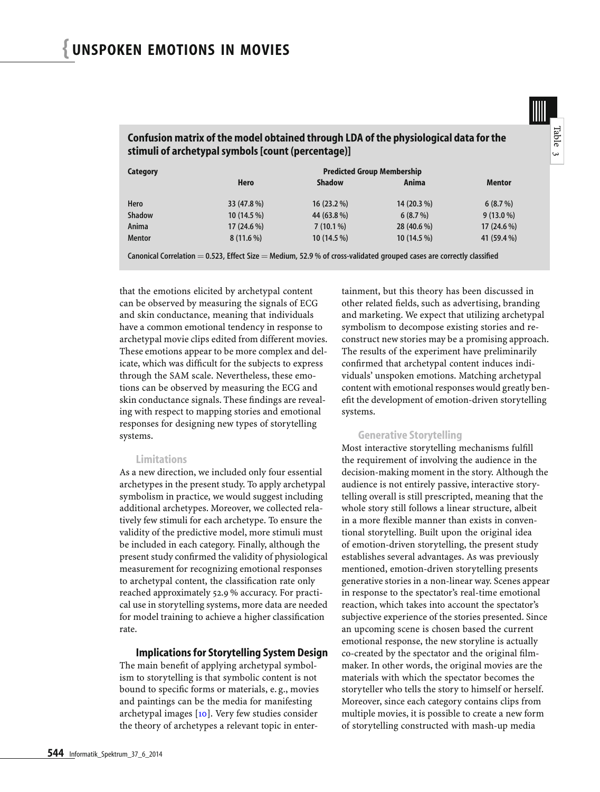Confusion matrix of the model obtained through LDA of the physiological data for the stimuli of archetypal symbols [count (percentage)]

Canonical Correlation  $= 0.523$ , Effect Size  $=$  Medium, 52.9 % of cross-validated grouped cases are correctly classified

Mentor 8 (11.6 %) 10 (14.5 %) 10 (14.5 %) 41 (59.4 %)

<span id="page-5-0"></span>that the emotions elicited by archetypal content can be observed by measuring the signals of ECG and skin conductance, meaning that individuals have a common emotional tendency in response to archetypal movie clips edited from different movies. These emotions appear to be more complex and delicate, which was difficult for the subjects to express through the SAM scale. Nevertheless, these emotions can be observed by measuring the ECG and skin conductance signals. These findings are revealing with respect to mapping stories and emotional responses for designing new types of storytelling systems.

#### Limitations

As a new direction, we included only four essential archetypes in the present study. To apply archetypal symbolism in practice, we would suggest including additional archetypes. Moreover, we collected relatively few stimuli for each archetype. To ensure the validity of the predictive model, more stimuli must be included in each category. Finally, although the present study confirmed the validity of physiological measurement for recognizing emotional responses to archetypal content, the classification rate only reached approximately 52.9 % accuracy. For practical use in storytelling systems, more data are needed for model training to achieve a higher classification rate.

#### Implications for Storytelling System Design

The main benefit of applying archetypal symbolism to storytelling is that symbolic content is not bound to specific forms or materials, e. g., movies and paintings can be the media for manifesting archetypal images [\[10\]](#page-6-18). Very few studies consider the theory of archetypes a relevant topic in entertainment, but this theory has been discussed in other related fields, such as advertising, branding and marketing. We expect that utilizing archetypal symbolism to decompose existing stories and reconstruct new stories may be a promising approach. The results of the experiment have preliminarily confirmed that archetypal content induces individuals' unspoken emotions. Matching archetypal content with emotional responses would greatly benefit the development of emotion-driven storytelling systems.

Tableس

#### Generative Storytelling

Most interactive storytelling mechanisms fulfill the requirement of involving the audience in the decision-making moment in the story. Although the audience is not entirely passive, interactive storytelling overall is still prescripted, meaning that the whole story still follows a linear structure, albeit in a more flexible manner than exists in conventional storytelling. Built upon the original idea of emotion-driven storytelling, the present study establishes several advantages. As was previously mentioned, emotion-driven storytelling presents generative stories in a non-linear way. Scenes appear in response to the spectator's real-time emotional reaction, which takes into account the spectator's subjective experience of the stories presented. Since an upcoming scene is chosen based the current emotional response, the new storyline is actually co-created by the spectator and the original filmmaker. In other words, the original movies are the materials with which the spectator becomes the storyteller who tells the story to himself or herself. Moreover, since each category contains clips from multiple movies, it is possible to create a new form of storytelling constructed with mash-up media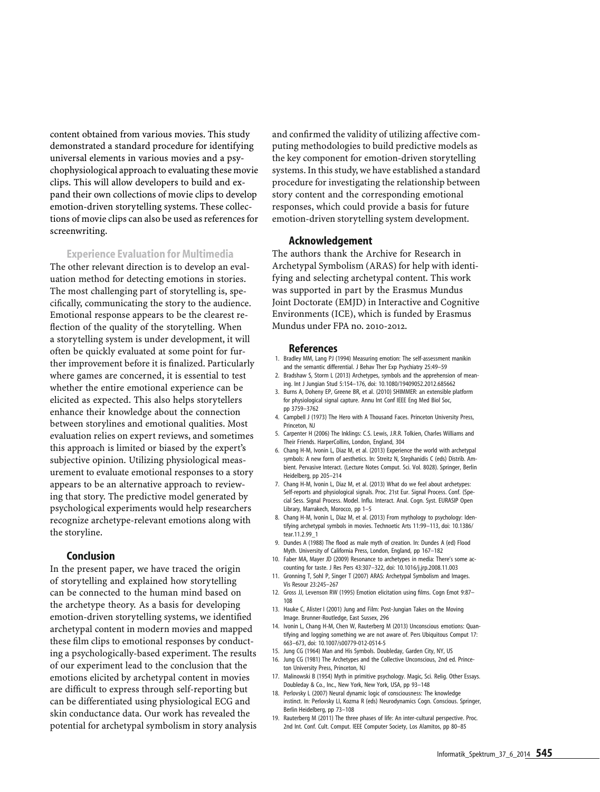content obtained from various movies. This study demonstrated a standard procedure for identifying universal elements in various movies and a psychophysiological approach to evaluating these movie clips. This will allow developers to build and expand their own collections of movie clips to develop emotion-driven storytelling systems. These collections of movie clips can also be used as references for screenwriting.

#### Experience Evaluation for Multimedia

The other relevant direction is to develop an evaluation method for detecting emotions in stories. The most challenging part of storytelling is, specifically, communicating the story to the audience. Emotional response appears to be the clearest reflection of the quality of the storytelling. When a storytelling system is under development, it will often be quickly evaluated at some point for further improvement before it is finalized. Particularly where games are concerned, it is essential to test whether the entire emotional experience can be elicited as expected. This also helps storytellers enhance their knowledge about the connection between storylines and emotional qualities. Most evaluation relies on expert reviews, and sometimes this approach is limited or biased by the expert's subjective opinion. Utilizing physiological measurement to evaluate emotional responses to a story appears to be an alternative approach to reviewing that story. The predictive model generated by psychological experiments would help researchers recognize archetype-relevant emotions along with the storyline.

#### Conclusion

In the present paper, we have traced the origin of storytelling and explained how storytelling can be connected to the human mind based on the archetype theory. As a basis for developing emotion-driven storytelling systems, we identified archetypal content in modern movies and mapped these film clips to emotional responses by conducting a psychologically-based experiment. The results of our experiment lead to the conclusion that the emotions elicited by archetypal content in movies are difficult to express through self-reporting but can be differentiated using physiological ECG and skin conductance data. Our work has revealed the potential for archetypal symbolism in story analysis and confirmed the validity of utilizing affective computing methodologies to build predictive models as the key component for emotion-driven storytelling systems. In this study, we have established a standard procedure for investigating the relationship between story content and the corresponding emotional responses, which could provide a basis for future emotion-driven storytelling system development.

#### Acknowledgement

The authors thank the Archive for Research in Archetypal Symbolism (ARAS) for help with identifying and selecting archetypal content. This work was supported in part by the Erasmus Mundus Joint Doctorate (EMJD) in Interactive and Cognitive Environments (ICE), which is funded by Erasmus Mundus under FPA no. 2010-2012.

#### References

- <span id="page-6-16"></span>1. Bradley MM, Lang PJ (1994) Measuring emotion: The self-assessment manikin and the semantic differential. J Behav Ther Exp Psychiatry 25:49–59
- <span id="page-6-5"></span>2. Bradshaw S, Storm L (2013) Archetypes, symbols and the apprehension of meaning. Int J Jungian Stud 5:154–176, doi: 10.1080/19409052.2012.685662
- <span id="page-6-17"></span>3. Burns A, Doheny EP, Greene BR, et al. (2010) SHIMMER: an extensible platform for physiological signal capture. Annu Int Conf IEEE Eng Med Biol Soc, pp 3759–3762
- <span id="page-6-10"></span>4. Campbell J (1973) The Hero with A Thousand Faces. Princeton University Press, Princeton, NJ
- <span id="page-6-3"></span>5. Carpenter H (2006) The Inklings: C.S. Lewis, J.R.R. Tolkien, Charles Williams and Their Friends. HarperCollins, London, England, 304
- <span id="page-6-8"></span>6. Chang H-M, Ivonin L, Diaz M, et al. (2013) Experience the world with archetypal symbols: A new form of aesthetics. In: Streitz N, Stephanidis C (eds) Distrib. Ambient. Pervasive Interact. (Lecture Notes Comput. Sci. Vol. 8028). Springer, Berlin Heidelberg, pp 205–214
- <span id="page-6-12"></span>7. Chang H-M, Ivonin L, Diaz M, et al. (2013) What do we feel about archetypes: Self-reports and physiological signals. Proc. 21st Eur. Signal Process. Conf. (Special Sess. Signal Process. Model. Influ. Interact. Anal. Cogn. Syst. EURASIP Open Library, Marrakech, Morocco, pp 1–5
- <span id="page-6-13"></span>8. Chang H-M, Ivonin L, Diaz M, et al. (2013) From mythology to psychology: Identifying archetypal symbols in movies. Technoetic Arts 11:99–113, doi: 10.1386/ tear.11.2.99\_1
- <span id="page-6-0"></span>9. Dundes A (1988) The flood as male myth of creation. In: Dundes A (ed) Flood Myth. University of California Press, London, England, pp 167–182
- <span id="page-6-18"></span><span id="page-6-11"></span>10. Faber MA, Mayer JD (2009) Resonance to archetypes in media: There's some accounting for taste. J Res Pers 43:307–322, doi: 10.1016/j.jrp.2008.11.003 11. Gronning T, Sohl P, Singer T (2007) ARAS: Archetypal Symbolism and Images.
- <span id="page-6-14"></span>Vis Resour 23:245–267
- 12. Gross JJ, Levenson RW (1995) Emotion elicitation using films. Cogn Emot 9:87– 108
- <span id="page-6-15"></span><span id="page-6-9"></span>13. Hauke C, Alister I (2001) Jung and Film: Post-Jungian Takes on the Moving Image. Brunner-Routledge, East Sussex, 296
- 14. Ivonin L, Chang H-M, Chen W, Rauterberg M (2013) Unconscious emotions: Quantifying and logging something we are not aware of. Pers Ubiquitous Comput 17: 663–673, doi: 10.1007/s00779-012-0514-5
- 15. Jung CG (1964) Man and His Symbols. Doubleday, Garden City, NY, US
- <span id="page-6-6"></span><span id="page-6-4"></span>16. Jung CG (1981) The Archetypes and the Collective Unconscious, 2nd ed. Princeton University Press, Princeton, NJ
- <span id="page-6-7"></span><span id="page-6-2"></span>17. Malinowski B (1954) Myth in primitive psychology. Magic, Sci. Relig. Other Essays. Doubleday & Co., Inc., New York, New York, USA, pp 93–148
- 18. Perlovsky L (2007) Neural dynamic logic of consciousness: The knowledge instinct. In: Perlovsky LI, Kozma R (eds) Neurodynamics Cogn. Conscious. Springer, Berlin Heidelberg, pp 73–108
- <span id="page-6-1"></span>19. Rauterberg M (2011) The three phases of life: An inter-cultural perspective. Proc. 2nd Int. Conf. Cult. Comput. IEEE Computer Society, Los Alamitos, pp 80–85